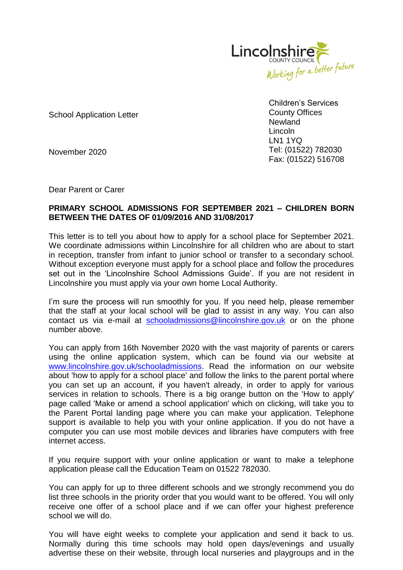

School Application Letter

Children's Services County Offices **Newland** Lincoln LN1 1YQ Tel: (01522) 782030 Fax: (01522) 516708

November 2020

Dear Parent or Carer

## **PRIMARY SCHOOL ADMISSIONS FOR SEPTEMBER 2021 – CHILDREN BORN BETWEEN THE DATES OF 01/09/2016 AND 31/08/2017**

This letter is to tell you about how to apply for a school place for September 2021. We coordinate admissions within Lincolnshire for all children who are about to start in reception, transfer from infant to junior school or transfer to a secondary school. Without exception everyone must apply for a school place and follow the procedures set out in the 'Lincolnshire School Admissions Guide'. If you are not resident in Lincolnshire you must apply via your own home Local Authority.

I'm sure the process will run smoothly for you. If you need help, please remember that the staff at your local school will be glad to assist in any way. You can also contact us via e-mail at [schooladmissions@lincolnshire.gov.uk](mailto:schooladmissions@lincolnshire.gov.uk) or on the phone number above.

You can apply from 16th November 2020 with the vast majority of parents or carers using the online application system, which can be found via our website at [www.lincolnshire.gov.uk/schooladmissions.](http://www.lincolnshire.gov.uk/schooladmissions) Read the information on our website about 'how to apply for a school place' and follow the links to the parent portal where you can set up an account, if you haven't already, in order to apply for various services in relation to schools. There is a big orange button on the 'How to apply' page called 'Make or amend a school application' which on clicking, will take you to the Parent Portal landing page where you can make your application. Telephone support is available to help you with your online application. If you do not have a computer you can use most mobile devices and libraries have computers with free internet access.

If you require support with your online application or want to make a telephone application please call the Education Team on 01522 782030.

You can apply for up to three different schools and we strongly recommend you do list three schools in the priority order that you would want to be offered. You will only receive one offer of a school place and if we can offer your highest preference school we will do.

You will have eight weeks to complete your application and send it back to us. Normally during this time schools may hold open days/evenings and usually advertise these on their website, through local nurseries and playgroups and in the